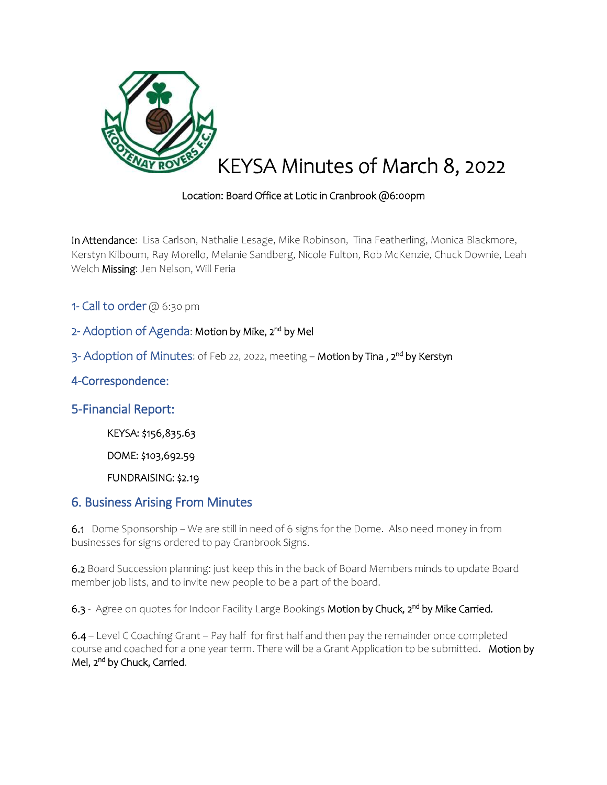

### Location: Board Office at Lotic in Cranbrook @6:00pm

In Attendance: Lisa Carlson, Nathalie Lesage, Mike Robinson, Tina Featherling, Monica Blackmore, Kerstyn Kilbourn, Ray Morello, Melanie Sandberg, Nicole Fulton, Rob McKenzie, Chuck Downie, Leah Welch Missing: Jen Nelson, Will Feria

- 1- Call to order @ 6:30 pm
- 2- Adoption of Agenda: Motion by Mike, 2<sup>nd</sup> by Mel
- 3- Adoption of Minutes: of Feb 22, 2022, meeting Motion by Tina , 2<sup>nd</sup> by Kerstyn

### 4-Correspondence:

### 5-Financial Report:

KEYSA: \$156,835.63

DOME: \$103,692.59

FUNDRAISING: \$2.19

## 6. Business Arising From Minutes

6.1Dome Sponsorship – We are still in need of 6 signs for the Dome. Also need money in from businesses for signs ordered to pay Cranbrook Signs.

6.2 Board Succession planning: just keep this in the back of Board Members minds to update Board member job lists, and to invite new people to be a part of the board.

6.3 - Agree on quotes for Indoor Facility Large Bookings Motion by Chuck, 2<sup>nd</sup> by Mike Carried.

6.4 – Level C Coaching Grant – Pay half for first half and then pay the remainder once completed course and coached for a one year term. There will be a Grant Application to be submitted. Motion by Mel, 2<sup>nd</sup> by Chuck, Carried.